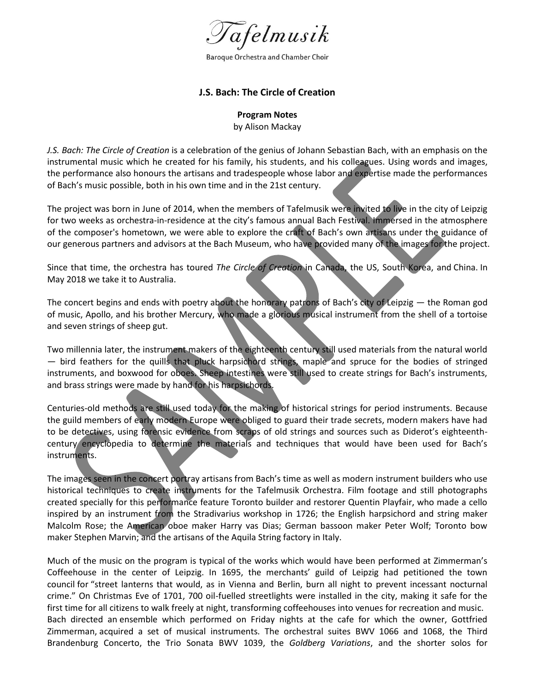

Baroque Orchestra and Chamber Choir

## **J.S. Bach: The Circle of Creation**

## **Program Notes**

by Alison Mackay

*J.S. Bach: The Circle of Creation* is a celebration of the genius of Johann Sebastian Bach, with an emphasis on the instrumental music which he created for his family, his students, and his colleagues. Using words and images, the performance also honours the artisans and tradespeople whose labor and expertise made the performances of Bach's music possible, both in his own time and in the 21st century.

The project was born in June of 2014, when the members of Tafelmusik were invited to live in the city of Leipzig for two weeks as orchestra-in-residence at the city's famous annual Bach Festival. Immersed in the atmosphere of the composer's hometown, we were able to explore the craft of Bach's own artisans under the guidance of our generous partners and advisors at the Bach Museum, who have provided many of the images for the project.

Since that time, the orchestra has toured *The Circle of Creation* in Canada, the US, South Korea, and China. In May 2018 we take it to Australia.

The concert begins and ends with poetry about the honorary patrons of Bach's city of Leipzig — the Roman god of music, Apollo, and his brother Mercury, who made a glorious musical instrument from the shell of a tortoise and seven strings of sheep gut.

Two millennia later, the instrument makers of the eighteenth century still used materials from the natural world — bird feathers for the quills that pluck harpsichord strings, maple and spruce for the bodies of stringed instruments, and boxwood for oboes. Sheep intestines were still used to create strings for Bach's instruments, and brass strings were made by hand for his harpsichords.

Centuries-old methods are still used today for the making of historical strings for period instruments. Because the guild members of early modern Europe were obliged to guard their trade secrets, modern makers have had to be detectives, using forensic evidence from scraps of old strings and sources such as Diderot's eighteenthcentury encyclopedia to determine the materials and techniques that would have been used for Bach's instruments.

The images seen in the concert portray artisans from Bach's time as well as modern instrument builders who use historical techniques to create instruments for the Tafelmusik Orchestra. Film footage and still photographs created specially for this performance feature Toronto builder and restorer Quentin Playfair, who made a cello inspired by an instrument from the Stradivarius workshop in 1726; the English harpsichord and string maker Malcolm Rose; the American oboe maker Harry vas Dias; German bassoon maker Peter Wolf; Toronto bow maker Stephen Marvin; and the artisans of the Aquila String factory in Italy.

Much of the music on the program is typical of the works which would have been performed at Zimmerman's Coffeehouse in the center of Leipzig. In 1695, the merchants' guild of Leipzig had petitioned the town council for "street lanterns that would, as in Vienna and Berlin, burn all night to prevent incessant nocturnal crime." On Christmas Eve of 1701, 700 oil-fuelled streetlights were installed in the city, making it safe for the first time for all citizens to walk freely at night, transforming coffeehouses into venues for recreation and music. Bach directed an ensemble which performed on Friday nights at the cafe for which the owner, Gottfried Zimmerman, acquired a set of musical instruments. The orchestral suites BWV 1066 and 1068, the Third Brandenburg Concerto, the Trio Sonata BWV 1039, the *Goldberg Variations*, and the shorter solos for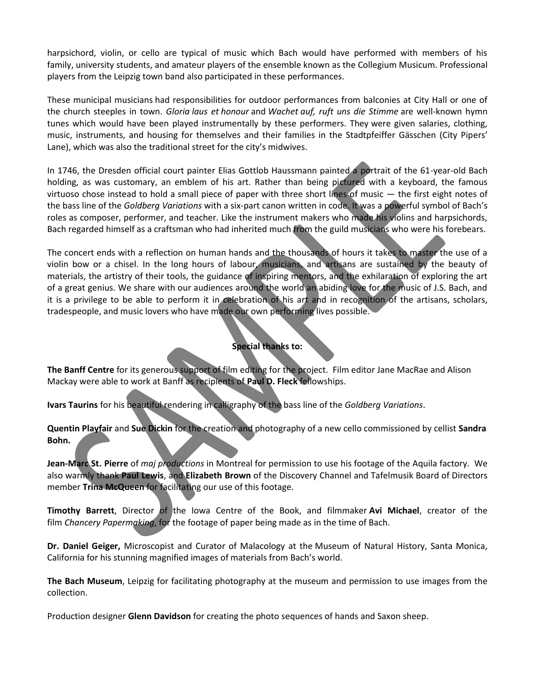harpsichord, violin, or cello are typical of music which Bach would have performed with members of his family, university students, and amateur players of the ensemble known as the Collegium Musicum. Professional players from the Leipzig town band also participated in these performances.

These municipal musicians had responsibilities for outdoor performances from balconies at City Hall or one of the church steeples in town. *Gloria laus et honour* and *Wachet auf, ruft uns die Stimme* are well-known hymn tunes which would have been played instrumentally by these performers. They were given salaries, clothing, music, instruments, and housing for themselves and their families in the Stadtpfeiffer Gässchen (City Pipers' Lane), which was also the traditional street for the city's midwives.

In 1746, the Dresden official court painter Elias Gottlob Haussmann painted a portrait of the 61-year-old Bach holding, as was customary, an emblem of his art. Rather than being pictured with a keyboard, the famous virtuoso chose instead to hold a small piece of paper with three short lines of music — the first eight notes of the bass line of the *Goldberg Variations* with a six-part canon written in code. It was a powerful symbol of Bach's roles as composer, performer, and teacher. Like the instrument makers who made his violins and harpsichords, Bach regarded himself as a craftsman who had inherited much from the guild musicians who were his forebears.

The concert ends with a reflection on human hands and the thousands of hours it takes to master the use of a violin bow or a chisel. In the long hours of labour, musicians, and artisans are sustained by the beauty of materials, the artistry of their tools, the guidance of inspiring mentors, and the exhilaration of exploring the art of a great genius. We share with our audiences around the world an abiding love for the music of J.S. Bach, and it is a privilege to be able to perform it in celebration of his art and in recognition of the artisans, scholars, tradespeople, and music lovers who have made our own performing lives possible.

## **Special thanks to:**

**The Banff Centre** for its generous support of film editing for the project. Film editor Jane MacRae and Alison Mackay were able to work at Banff as recipients of **Paul D. Fleck** fellowships.

**Ivars Taurins** for his beautiful rendering in calligraphy of the bass line of the *Goldberg Variations*.

**Quentin Playfair** and **Sue Dickin** for the creation and photography of a new cello commissioned by cellist **Sandra Bohn.**

**Jean-Marc St. Pierre** of *maj productions* in Montreal for permission to use his footage of the Aquila factory. We also warmly thank **Paul Lewis**, and **Elizabeth Brown** of the Discovery Channel and Tafelmusik Board of Directors member **Trina McQueen** for facilitating our use of this footage.

**Timothy Barrett**, Director of the Iowa Centre of the Book, and filmmaker **Avi Michael**, creator of the film *Chancery Papermaking*, for the footage of paper being made as in the time of Bach.

**Dr. Daniel Geiger,** Microscopist and Curator of Malacology at the Museum of Natural History, Santa Monica, California for his stunning magnified images of materials from Bach's world.

**The Bach Museum**, Leipzig for facilitating photography at the museum and permission to use images from the collection.

Production designer **Glenn Davidson** for creating the photo sequences of hands and Saxon sheep.